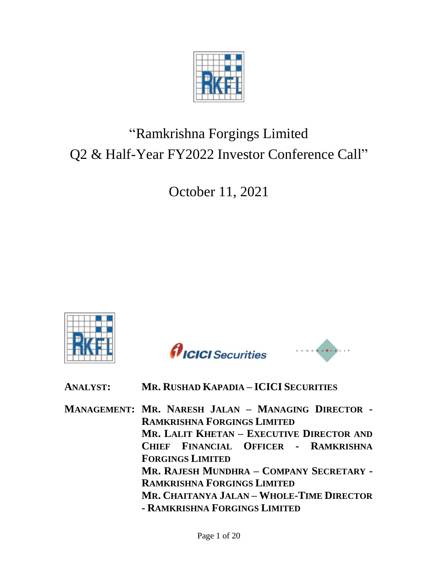

# "Ramkrishna Forgings Limited Q2 & Half-Year FY2022 Investor Conference Call"

October 11, 2021







| <b>ANALYST:</b> | MR. RUSHAD KAPADIA - ICICI SECURITIES |  |
|-----------------|---------------------------------------|--|
|-----------------|---------------------------------------|--|

**MANAGEMENT: MR. NARESH JALAN – MANAGING DIRECTOR - RAMKRISHNA FORGINGS LIMITED MR. LALIT KHETAN – EXECUTIVE DIRECTOR AND CHIEF FINANCIAL OFFICER - RAMKRISHNA FORGINGS LIMITED MR. RAJESH MUNDHRA – COMPANY SECRETARY - RAMKRISHNA FORGINGS LIMITED MR. CHAITANYA JALAN – WHOLE-TIME DIRECTOR - RAMKRISHNA FORGINGS LIMITED**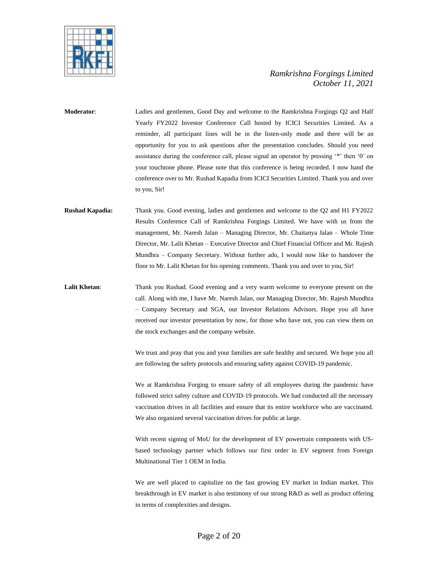

**Moderator**: Ladies and gentlemen, Good Day and welcome to the Ramkrishna Forgings Q2 and Half Yearly FY2022 Investor Conference Call hosted by ICICI Securities Limited. As a reminder, all participant lines will be in the listen-only mode and there will be an opportunity for you to ask questions after the presentation concludes. Should you need assistance during the conference call, please signal an operator by pressing '\*' then '0' on your touchtone phone. Please note that this conference is being recorded. I now hand the conference over to Mr. Rushad Kapadia from ICICI Securities Limited. Thank you and over to you, Sir!

- **Rushad Kapadia:** Thank you. Good evening, ladies and gentlemen and welcome to the Q2 and H1 FY2022 Results Conference Call of Ramkrishna Forgings Limited. We have with us from the management, Mr. Naresh Jalan – Managing Director, Mr. Chaitanya Jalan – Whole Time Director, Mr. Lalit Khetan – Executive Director and Chief Financial Officer and Mr. Rajesh Mundhra – Company Secretary. Without further ado, I would now like to handover the floor to Mr. Lalit Khetan for his opening comments. Thank you and over to you, Sir!
- **Lalit Khetan**: Thank you Rushad. Good evening and a very warm welcome to everyone present on the call. Along with me, I have Mr. Naresh Jalan, our Managing Director, Mr. Rajesh Mundhra – Company Secretary and SGA, our Investor Relations Advisors. Hope you all have received our investor presentation by now, for those who have not, you can view them on the stock exchanges and the company website.

We trust and pray that you and your families are safe healthy and secured. We hope you all are following the safety protocols and ensuring safety against COVID-19 pandemic.

We at Ramkrishna Forging to ensure safety of all employees during the pandemic have followed strict safety culture and COVID-19 protocols. We had conducted all the necessary vaccination drives in all facilities and ensure that its entire workforce who are vaccinated. We also organized several vaccination drives for public at large.

With recent signing of MoU for the development of EV powertrain components with USbased technology partner which follows our first order in EV segment from Foreign Multinational Tier 1 OEM in India.

We are well placed to capitalize on the fast growing EV market in Indian market. This breakthrough in EV market is also testimony of our strong R&D as well as product offering in terms of complexities and designs.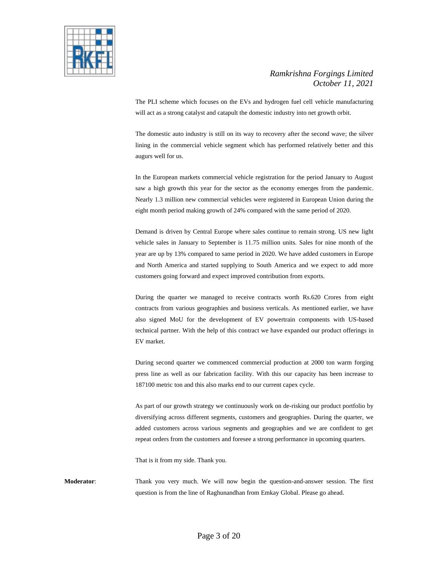

The PLI scheme which focuses on the EVs and hydrogen fuel cell vehicle manufacturing will act as a strong catalyst and catapult the domestic industry into net growth orbit.

The domestic auto industry is still on its way to recovery after the second wave; the silver lining in the commercial vehicle segment which has performed relatively better and this augurs well for us.

In the European markets commercial vehicle registration for the period January to August saw a high growth this year for the sector as the economy emerges from the pandemic. Nearly 1.3 million new commercial vehicles were registered in European Union during the eight month period making growth of 24% compared with the same period of 2020.

Demand is driven by Central Europe where sales continue to remain strong. US new light vehicle sales in January to September is 11.75 million units. Sales for nine month of the year are up by 13% compared to same period in 2020. We have added customers in Europe and North America and started supplying to South America and we expect to add more customers going forward and expect improved contribution from exports.

During the quarter we managed to receive contracts worth Rs.620 Crores from eight contracts from various geographies and business verticals. As mentioned earlier, we have also signed MoU for the development of EV powertrain components with US-based technical partner. With the help of this contract we have expanded our product offerings in EV market.

During second quarter we commenced commercial production at 2000 ton warm forging press line as well as our fabrication facility. With this our capacity has been increase to 187100 metric ton and this also marks end to our current capex cycle.

As part of our growth strategy we continuously work on de-risking our product portfolio by diversifying across different segments, customers and geographies. During the quarter, we added customers across various segments and geographies and we are confident to get repeat orders from the customers and foresee a strong performance in upcoming quarters.

That is it from my side. Thank you.

**Moderator**: Thank you very much. We will now begin the question-and-answer session. The first question is from the line of Raghunandhan from Emkay Global. Please go ahead.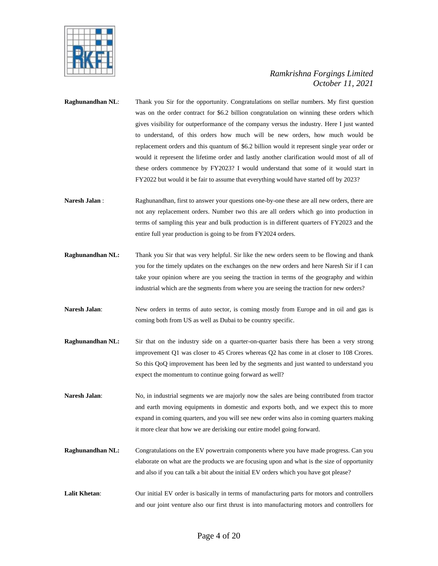

- **Raghunandhan NL:** Thank you Sir for the opportunity. Congratulations on stellar numbers. My first question was on the order contract for \$6.2 billion congratulation on winning these orders which gives visibility for outperformance of the company versus the industry. Here I just wanted to understand, of this orders how much will be new orders, how much would be replacement orders and this quantum of \$6.2 billion would it represent single year order or would it represent the lifetime order and lastly another clarification would most of all of these orders commence by FY2023? I would understand that some of it would start in FY2022 but would it be fair to assume that everything would have started off by 2023?
- **Naresh Jalan** : Raghunandhan, first to answer your questions one-by-one these are all new orders, there are not any replacement orders. Number two this are all orders which go into production in terms of sampling this year and bulk production is in different quarters of FY2023 and the entire full year production is going to be from FY2024 orders.
- **Raghunandhan NL:** Thank you Sir that was very helpful. Sir like the new orders seem to be flowing and thank you for the timely updates on the exchanges on the new orders and here Naresh Sir if I can take your opinion where are you seeing the traction in terms of the geography and within industrial which are the segments from where you are seeing the traction for new orders?
- **Naresh Jalan:** New orders in terms of auto sector, is coming mostly from Europe and in oil and gas is coming both from US as well as Dubai to be country specific.
- **Raghunandhan NL:** Sir that on the industry side on a quarter-on-quarter basis there has been a very strong improvement Q1 was closer to 45 Crores whereas Q2 has come in at closer to 108 Crores. So this QoQ improvement has been led by the segments and just wanted to understand you expect the momentum to continue going forward as well?
- **Naresh Jalan**: No, in industrial segments we are majorly now the sales are being contributed from tractor and earth moving equipments in domestic and exports both, and we expect this to more expand in coming quarters, and you will see new order wins also in coming quarters making it more clear that how we are derisking our entire model going forward.
- **Raghunandhan NL:** Congratulations on the EV powertrain components where you have made progress. Can you elaborate on what are the products we are focusing upon and what is the size of opportunity and also if you can talk a bit about the initial EV orders which you have got please?
- **Lalit Khetan**: Our initial EV order is basically in terms of manufacturing parts for motors and controllers and our joint venture also our first thrust is into manufacturing motors and controllers for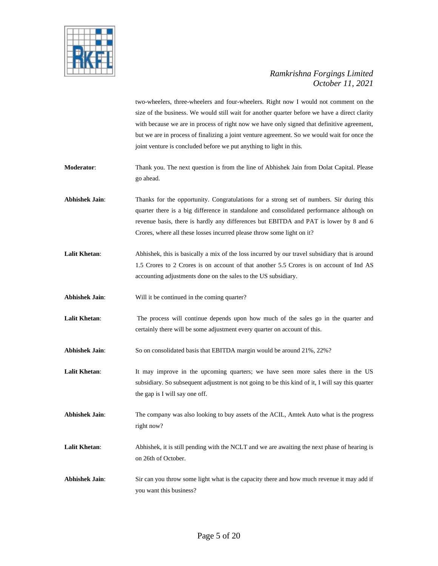

two-wheelers, three-wheelers and four-wheelers. Right now I would not comment on the size of the business. We would still wait for another quarter before we have a direct clarity with because we are in process of right now we have only signed that definitive agreement, but we are in process of finalizing a joint venture agreement. So we would wait for once the joint venture is concluded before we put anything to light in this.

- **Moderator**: Thank you. The next question is from the line of Abhishek Jain from Dolat Capital. Please go ahead.
- **Abhishek Jain**: Thanks for the opportunity. Congratulations for a strong set of numbers. Sir during this quarter there is a big difference in standalone and consolidated performance although on revenue basis, there is hardly any differences but EBITDA and PAT is lower by 8 and 6 Crores, where all these losses incurred please throw some light on it?
- Lalit Khetan: Abhishek, this is basically a mix of the loss incurred by our travel subsidiary that is around 1.5 Crores to 2 Crores is on account of that another 5.5 Crores is on account of Ind AS accounting adjustments done on the sales to the US subsidiary.
- **Abhishek Jain**: Will it be continued in the coming quarter?
- **Lalit Khetan**: The process will continue depends upon how much of the sales go in the quarter and certainly there will be some adjustment every quarter on account of this.
- **Abhishek Jain**: So on consolidated basis that EBITDA margin would be around 21%, 22%?
- **Lalit Khetan:** It may improve in the upcoming quarters; we have seen more sales there in the US subsidiary. So subsequent adjustment is not going to be this kind of it, I will say this quarter the gap is I will say one off.
- **Abhishek Jain**: The company was also looking to buy assets of the ACIL, Amtek Auto what is the progress right now?
- Lalit Khetan: Abhishek, it is still pending with the NCLT and we are awaiting the next phase of hearing is on 26th of October.
- **Abhishek Jain**: Sir can you throw some light what is the capacity there and how much revenue it may add if you want this business?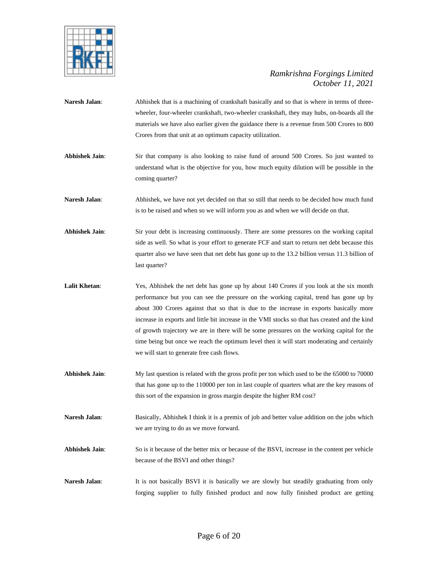

- **Naresh Jalan:** Abhishek that is a machining of crankshaft basically and so that is where in terms of threewheeler, four-wheeler crankshaft, two-wheeler crankshaft, they may hubs, on-boards all the materials we have also earlier given the guidance there is a revenue from 500 Crores to 800 Crores from that unit at an optimum capacity utilization.
- **Abhishek Jain**: Sir that company is also looking to raise fund of around 500 Crores. So just wanted to understand what is the objective for you, how much equity dilution will be possible in the coming quarter?
- Naresh Jalan: Abhishek, we have not yet decided on that so still that needs to be decided how much fund is to be raised and when so we will inform you as and when we will decide on that.
- Abhishek Jain: Sir your debt is increasing continuously. There are some pressures on the working capital side as well. So what is your effort to generate FCF and start to return net debt because this quarter also we have seen that net debt has gone up to the 13.2 billion versus 11.3 billion of last quarter?
- Lalit Khetan: Yes, Abhishek the net debt has gone up by about 140 Crores if you look at the six month performance but you can see the pressure on the working capital, trend has gone up by about 300 Crores against that so that is due to the increase in exports basically more increase in exports and little bit increase in the VMI stocks so that has created and the kind of growth trajectory we are in there will be some pressures on the working capital for the time being but once we reach the optimum level then it will start moderating and certainly we will start to generate free cash flows.
- **Abhishek Jain**: My last question is related with the gross profit per ton which used to be the 65000 to 70000 that has gone up to the 110000 per ton in last couple of quarters what are the key reasons of this sort of the expansion in gross margin despite the higher RM cost?
- **Naresh Jalan**: Basically, Abhishek I think it is a premix of job and better value addition on the jobs which we are trying to do as we move forward.
- **Abhishek Jain**: So is it because of the better mix or because of the BSVI, increase in the content per vehicle because of the BSVI and other things?
- **Naresh Jalan:** It is not basically BSVI it is basically we are slowly but steadily graduating from only forging supplier to fully finished product and now fully finished product are getting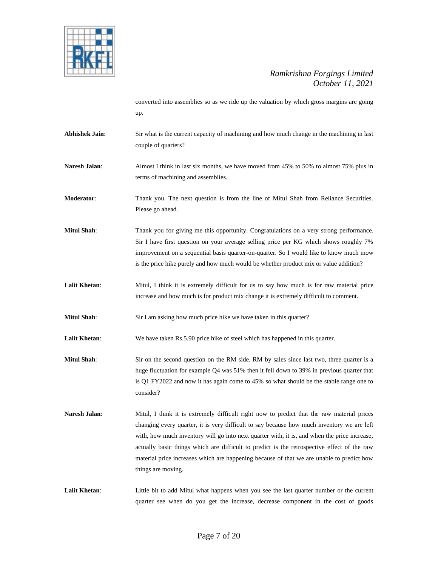

converted into assemblies so as we ride up the valuation by which gross margins are going up.

- Abhishek Jain: Sir what is the current capacity of machining and how much change in the machining in last couple of quarters?
- **Naresh Jalan:** Almost I think in last six months, we have moved from 45% to 50% to almost 75% plus in terms of machining and assemblies.

**Moderator**: Thank you. The next question is from the line of Mitul Shah from Reliance Securities. Please go ahead.

- **Mitul Shah**: Thank you for giving me this opportunity. Congratulations on a very strong performance. Sir I have first question on your average selling price per KG which shows roughly 7% improvement on a sequential basis quarter-on-quarter. So I would like to know much mow is the price hike purely and how much would be whether product mix or value addition?
- **Lalit Khetan**: Mitul, I think it is extremely difficult for us to say how much is for raw material price increase and how much is for product mix change it is extremely difficult to comment.
- **Mitul Shah**: Sir I am asking how much price hike we have taken in this quarter?
- **Lalit Khetan**: We have taken Rs.5.90 price hike of steel which has happened in this quarter.
- **Mitul Shah**: Sir on the second question on the RM side. RM by sales since last two, three quarter is a huge fluctuation for example Q4 was 51% then it fell down to 39% in previous quarter that is Q1 FY2022 and now it has again come to 45% so what should be the stable range one to consider?
- Naresh Jalan: Mitul, I think it is extremely difficult right now to predict that the raw material prices changing every quarter, it is very difficult to say because how much inventory we are left with, how much inventory will go into next quarter with, it is, and when the price increase, actually basic things which are difficult to predict is the retrospective effect of the raw material price increases which are happening because of that we are unable to predict how things are moving.
- Lalit Khetan: Little bit to add Mitul what happens when you see the last quarter number or the current quarter see when do you get the increase, decrease component in the cost of goods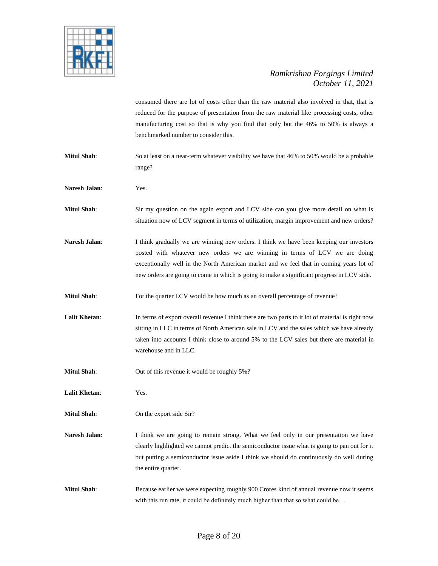

consumed there are lot of costs other than the raw material also involved in that, that is reduced for the purpose of presentation from the raw material like processing costs, other manufacturing cost so that is why you find that only but the 46% to 50% is always a benchmarked number to consider this.

**Mitul Shah**: So at least on a near-term whatever visibility we have that 46% to 50% would be a probable range?

**Naresh Jalan**: Yes.

**Mitul Shah**: Sir my question on the again export and LCV side can you give more detail on what is situation now of LCV segment in terms of utilization, margin improvement and new orders?

Naresh Jalan: I think gradually we are winning new orders. I think we have been keeping our investors posted with whatever new orders we are winning in terms of LCV we are doing exceptionally well in the North American market and we feel that in coming years lot of new orders are going to come in which is going to make a significant progress in LCV side.

**Mitul Shah**: For the quarter LCV would be how much as an overall percentage of revenue?

Lalit Khetan: In terms of export overall revenue I think there are two parts to it lot of material is right now sitting in LLC in terms of North American sale in LCV and the sales which we have already taken into accounts I think close to around 5% to the LCV sales but there are material in warehouse and in LLC.

**Mitul Shah**: Out of this revenue it would be roughly 5%?

**Lalit Khetan**: Yes.

**Mitul Shah:** On the export side Sir?

Naresh Jalan: I think we are going to remain strong. What we feel only in our presentation we have clearly highlighted we cannot predict the semiconductor issue what is going to pan out for it but putting a semiconductor issue aside I think we should do continuously do well during the entire quarter.

**Mitul Shah**: Because earlier we were expecting roughly 900 Crores kind of annual revenue now it seems with this run rate, it could be definitely much higher than that so what could be...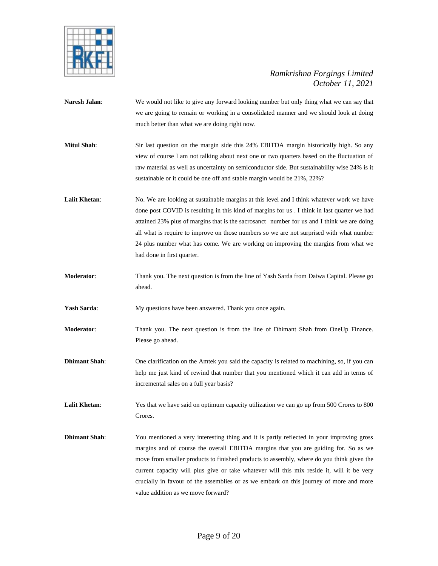

- **Naresh Jalan**: We would not like to give any forward looking number but only thing what we can say that we are going to remain or working in a consolidated manner and we should look at doing much better than what we are doing right now.
- **Mitul Shah**: Sir last question on the margin side this 24% EBITDA margin historically high. So any view of course I am not talking about next one or two quarters based on the fluctuation of raw material as well as uncertainty on semiconductor side. But sustainability wise 24% is it sustainable or it could be one off and stable margin would be 21%, 22%?
- Lalit Khetan: No. We are looking at sustainable margins at this level and I think whatever work we have done post COVID is resulting in this kind of margins for us . I think in last quarter we had attained 23% plus of margins that is the sacrosanct number for us and I think we are doing all what is require to improve on those numbers so we are not surprised with what number 24 plus number what has come. We are working on improving the margins from what we had done in first quarter.
- **Moderator**: Thank you. The next question is from the line of Yash Sarda from Daiwa Capital. Please go ahead.

Yash Sarda: My questions have been answered. Thank you once again.

- **Moderator**: Thank you. The next question is from the line of Dhimant Shah from OneUp Finance. Please go ahead.
- **Dhimant Shah**: One clarification on the Amtek you said the capacity is related to machining, so, if you can help me just kind of rewind that number that you mentioned which it can add in terms of incremental sales on a full year basis?
- **Lalit Khetan**: Yes that we have said on optimum capacity utilization we can go up from 500 Crores to 800 Crores.
- **Dhimant Shah**: You mentioned a very interesting thing and it is partly reflected in your improving gross margins and of course the overall EBITDA margins that you are guiding for. So as we move from smaller products to finished products to assembly, where do you think given the current capacity will plus give or take whatever will this mix reside it, will it be very crucially in favour of the assemblies or as we embark on this journey of more and more value addition as we move forward?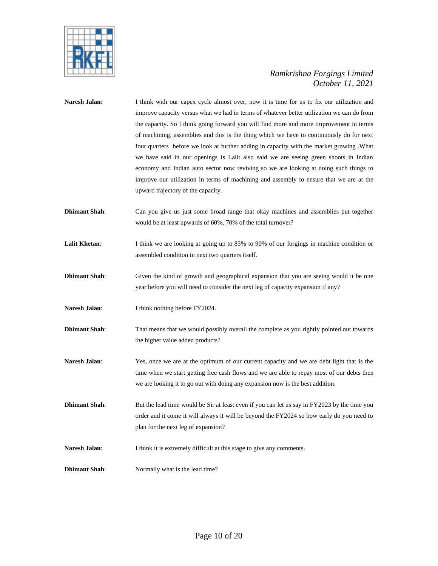

| Naresh Jalan:        | I think with our capex cycle almost over, now it is time for us to fix our utilization and<br>improve capacity versus what we had in terms of whatever better utilization we can do from<br>the capacity. So I think going forward you will find more and more improvement in terms<br>of machining, assemblies and this is the thing which we have to continuously do for next<br>four quarters before we look at further adding in capacity with the market growing .What<br>we have said in our openings is Lalit also said we are seeing green shoots in Indian<br>economy and Indian auto sector now reviving so we are looking at doing such things to<br>improve our utilization in terms of machining and assembly to ensure that we are at the<br>upward trajectory of the capacity. |
|----------------------|-----------------------------------------------------------------------------------------------------------------------------------------------------------------------------------------------------------------------------------------------------------------------------------------------------------------------------------------------------------------------------------------------------------------------------------------------------------------------------------------------------------------------------------------------------------------------------------------------------------------------------------------------------------------------------------------------------------------------------------------------------------------------------------------------|
| <b>Dhimant Shah:</b> | Can you give us just some broad range that okay machines and assemblies put together<br>would be at least upwards of 60%, 70% of the total turnover?                                                                                                                                                                                                                                                                                                                                                                                                                                                                                                                                                                                                                                          |
| <b>Lalit Khetan:</b> | I think we are looking at going up to 85% to 90% of our forgings in machine condition or<br>assembled condition in next two quarters itself.                                                                                                                                                                                                                                                                                                                                                                                                                                                                                                                                                                                                                                                  |
| <b>Dhimant Shah:</b> | Given the kind of growth and geographical expansion that you are seeing would it be one<br>year before you will need to consider the next leg of capacity expansion if any?                                                                                                                                                                                                                                                                                                                                                                                                                                                                                                                                                                                                                   |
| Naresh Jalan:        | I think nothing before FY2024.                                                                                                                                                                                                                                                                                                                                                                                                                                                                                                                                                                                                                                                                                                                                                                |
| <b>Dhimant Shah:</b> | That means that we would possibly overall the complete as you rightly pointed out towards<br>the higher value added products?                                                                                                                                                                                                                                                                                                                                                                                                                                                                                                                                                                                                                                                                 |
| Naresh Jalan:        | Yes, once we are at the optimum of our current capacity and we are debt light that is the<br>time when we start getting free cash flows and we are able to repay most of our debts then<br>we are looking it to go out with doing any expansion now is the best addition.                                                                                                                                                                                                                                                                                                                                                                                                                                                                                                                     |
| <b>Dhimant Shah:</b> | But the lead time would be Sir at least even if you can let us say in FY2023 by the time you<br>order and it come it will always it will be beyond the FY2024 so how early do you need to<br>plan for the next leg of expansion?                                                                                                                                                                                                                                                                                                                                                                                                                                                                                                                                                              |
| Naresh Jalan:        | I think it is extremely difficult at this stage to give any comments.                                                                                                                                                                                                                                                                                                                                                                                                                                                                                                                                                                                                                                                                                                                         |
| <b>Dhimant Shah:</b> | Normally what is the lead time?                                                                                                                                                                                                                                                                                                                                                                                                                                                                                                                                                                                                                                                                                                                                                               |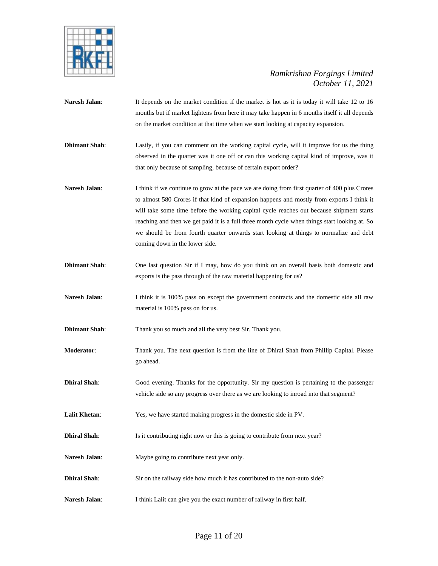

- Naresh Jalan: It depends on the market condition if the market is hot as it is today it will take 12 to 16 months but if market lightens from here it may take happen in 6 months itself it all depends on the market condition at that time when we start looking at capacity expansion.
- **Dhimant Shah**: Lastly, if you can comment on the working capital cycle, will it improve for us the thing observed in the quarter was it one off or can this working capital kind of improve, was it that only because of sampling, because of certain export order?
- **Naresh Jalan:** I think if we continue to grow at the pace we are doing from first quarter of 400 plus Crores to almost 580 Crores if that kind of expansion happens and mostly from exports I think it will take some time before the working capital cycle reaches out because shipment starts reaching and then we get paid it is a full three month cycle when things start looking at. So we should be from fourth quarter onwards start looking at things to normalize and debt coming down in the lower side.
- **Dhimant Shah**: One last question Sir if I may, how do you think on an overall basis both domestic and exports is the pass through of the raw material happening for us?
- **Naresh Jalan:** I think it is 100% pass on except the government contracts and the domestic side all raw material is 100% pass on for us.
- **Dhimant Shah:** Thank you so much and all the very best Sir. Thank you.
- **Moderator**: Thank you. The next question is from the line of Dhiral Shah from Phillip Capital. Please go ahead.
- **Dhiral Shah**: Good evening. Thanks for the opportunity. Sir my question is pertaining to the passenger vehicle side so any progress over there as we are looking to inroad into that segment?
- **Lalit Khetan:** Yes, we have started making progress in the domestic side in PV.
- **Dhiral Shah**: Is it contributing right now or this is going to contribute from next year?
- **Naresh Jalan**: Maybe going to contribute next year only.
- **Dhiral Shah**: Sir on the railway side how much it has contributed to the non-auto side?
- Naresh Jalan: I think Lalit can give you the exact number of railway in first half.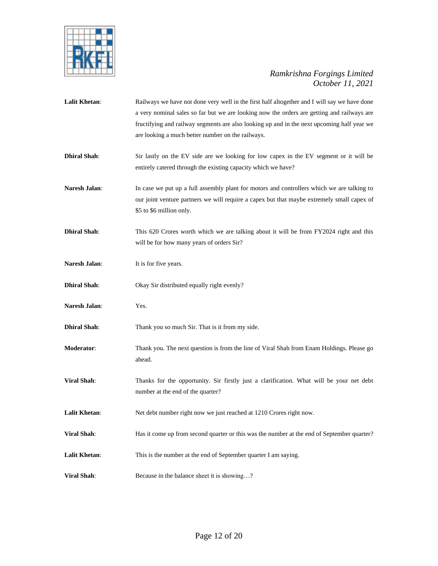

| <b>Lalit Khetan:</b> | Railways we have not done very well in the first half altogether and I will say we have done<br>a very nominal sales so far but we are looking now the orders are getting and railways are<br>fructifying and railway segments are also looking up and in the next upcoming half year we<br>are looking a much better number on the railways. |
|----------------------|-----------------------------------------------------------------------------------------------------------------------------------------------------------------------------------------------------------------------------------------------------------------------------------------------------------------------------------------------|
| <b>Dhiral Shah:</b>  | Sir lastly on the EV side are we looking for low capex in the EV segment or it will be<br>entirely catered through the existing capacity which we have?                                                                                                                                                                                       |
| <b>Naresh Jalan:</b> | In case we put up a full assembly plant for motors and controllers which we are talking to<br>our joint venture partners we will require a capex but that maybe extremely small capex of<br>\$5 to \$6 million only.                                                                                                                          |
| <b>Dhiral Shah:</b>  | This 620 Crores worth which we are talking about it will be from FY2024 right and this<br>will be for how many years of orders Sir?                                                                                                                                                                                                           |
| Naresh Jalan:        | It is for five years.                                                                                                                                                                                                                                                                                                                         |
| <b>Dhiral Shah:</b>  | Okay Sir distributed equally right evenly?                                                                                                                                                                                                                                                                                                    |
| Naresh Jalan:        | Yes.                                                                                                                                                                                                                                                                                                                                          |
| <b>Dhiral Shah:</b>  | Thank you so much Sir. That is it from my side.                                                                                                                                                                                                                                                                                               |
| Moderator:           | Thank you. The next question is from the line of Viral Shah from Enam Holdings. Please go<br>ahead.                                                                                                                                                                                                                                           |
| <b>Viral Shah:</b>   | Thanks for the opportunity. Sir firstly just a clarification. What will be your net debt<br>number at the end of the quarter?                                                                                                                                                                                                                 |
| <b>Lalit Khetan:</b> | Net debt number right now we just reached at 1210 Crores right now.                                                                                                                                                                                                                                                                           |
| <b>Viral Shah:</b>   | Has it come up from second quarter or this was the number at the end of September quarter?                                                                                                                                                                                                                                                    |
| <b>Lalit Khetan:</b> | This is the number at the end of September quarter I am saying.                                                                                                                                                                                                                                                                               |
| <b>Viral Shah:</b>   | Because in the balance sheet it is showing?                                                                                                                                                                                                                                                                                                   |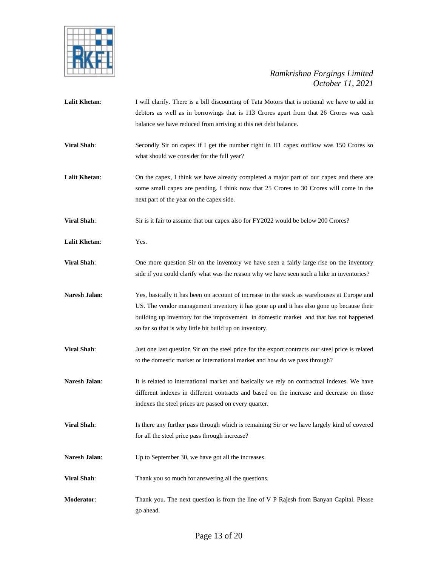

Lalit Khetan: I will clarify. There is a bill discounting of Tata Motors that is notional we have to add in debtors as well as in borrowings that is 113 Crores apart from that 26 Crores was cash balance we have reduced from arriving at this net debt balance. **Viral Shah**: Secondly Sir on capex if I get the number right in H1 capex outflow was 150 Crores so what should we consider for the full year? **Lalit Khetan**: On the capex, I think we have already completed a major part of our capex and there are some small capex are pending. I think now that 25 Crores to 30 Crores will come in the next part of the year on the capex side. **Viral Shah**: Sir is it fair to assume that our capex also for FY2022 would be below 200 Crores? **Lalit Khetan**: Yes. **Viral Shah**: One more question Sir on the inventory we have seen a fairly large rise on the inventory side if you could clarify what was the reason why we have seen such a hike in inventories? **Naresh Jalan**: Yes, basically it has been on account of increase in the stock as warehouses at Europe and US. The vendor management inventory it has gone up and it has also gone up because their building up inventory for the improvement in domestic market and that has not happened so far so that is why little bit build up on inventory. **Viral Shah**: Just one last question Sir on the steel price for the export contracts our steel price is related to the domestic market or international market and how do we pass through? Naresh Jalan: It is related to international market and basically we rely on contractual indexes. We have different indexes in different contracts and based on the increase and decrease on those indexes the steel prices are passed on every quarter. **Viral Shah**: Is there any further pass through which is remaining Sir or we have largely kind of covered for all the steel price pass through increase? Naresh Jalan: Up to September 30, we have got all the increases. **Viral Shah:** Thank you so much for answering all the questions. **Moderator**: Thank you. The next question is from the line of V P Rajesh from Banyan Capital. Please go ahead.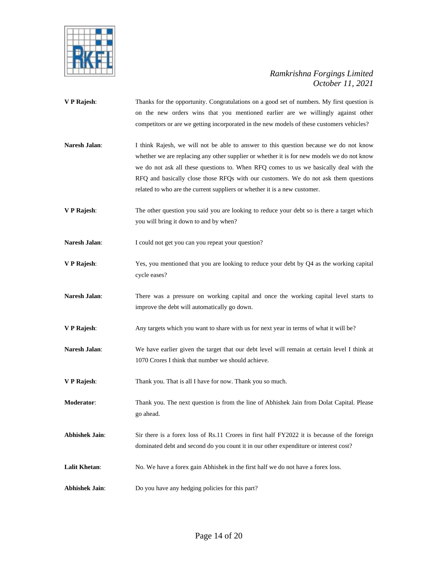

- **V P Rajesh**: Thanks for the opportunity. Congratulations on a good set of numbers. My first question is on the new orders wins that you mentioned earlier are we willingly against other competitors or are we getting incorporated in the new models of these customers vehicles?
- **Naresh Jalan**: I think Rajesh, we will not be able to answer to this question because we do not know whether we are replacing any other supplier or whether it is for new models we do not know we do not ask all these questions to. When RFQ comes to us we basically deal with the RFQ and basically close those RFQs with our customers. We do not ask them questions related to who are the current suppliers or whether it is a new customer.
- **V P Rajesh:** The other question you said you are looking to reduce your debt so is there a target which you will bring it down to and by when?
- Naresh Jalan: I could not get you can you repeat your question?
- **V P Rajesh**: Yes, you mentioned that you are looking to reduce your debt by Q4 as the working capital cycle eases?
- **Naresh Jalan:** There was a pressure on working capital and once the working capital level starts to improve the debt will automatically go down.
- **V P Rajesh**: Any targets which you want to share with us for next year in terms of what it will be?
- **Naresh Jalan**: We have earlier given the target that our debt level will remain at certain level I think at 1070 Crores I think that number we should achieve.
- **V P Rajesh**: Thank you. That is all I have for now. Thank you so much.
- **Moderator**: Thank you. The next question is from the line of Abhishek Jain from Dolat Capital. Please go ahead.
- Abhishek Jain: Sir there is a forex loss of Rs.11 Crores in first half FY2022 it is because of the foreign dominated debt and second do you count it in our other expenditure or interest cost?
- Lalit Khetan: No. We have a forex gain Abhishek in the first half we do not have a forex loss.
- **Abhishek Jain:** Do you have any hedging policies for this part?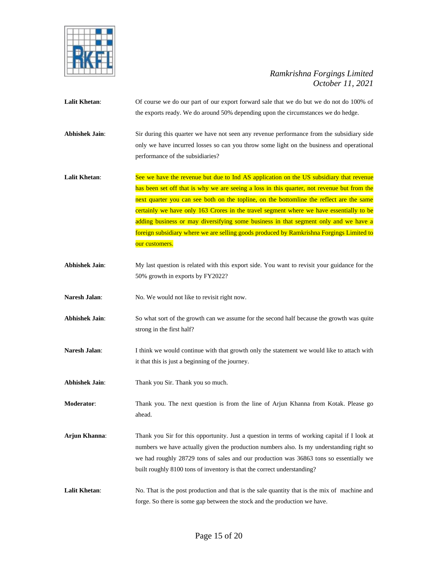

**Lalit Khetan**: Of course we do our part of our export forward sale that we do but we do not do 100% of the exports ready. We do around 50% depending upon the circumstances we do hedge.

**Abhishek Jain**: Sir during this quarter we have not seen any revenue performance from the subsidiary side only we have incurred losses so can you throw some light on the business and operational performance of the subsidiaries?

Lalit Khetan: See we have the revenue but due to Ind AS application on the US subsidiary that revenue has been set off that is why we are seeing a loss in this quarter, not revenue but from the next quarter you can see both on the topline, on the bottomline the reflect are the same certainly we have only 163 Crores in the travel segment where we have essentially to be adding business or may diversifying some business in that segment only and we have a foreign subsidiary where we are selling goods produced by Ramkrishna Forgings Limited to our customers.

- **Abhishek Jain**: My last question is related with this export side. You want to revisit your guidance for the 50% growth in exports by FY2022?
- Naresh Jalan: No. We would not like to revisit right now.
- **Abhishek Jain**: So what sort of the growth can we assume for the second half because the growth was quite strong in the first half?
- **Naresh Jalan:** I think we would continue with that growth only the statement we would like to attach with it that this is just a beginning of the journey.
- **Abhishek Jain**: Thank you Sir. Thank you so much.

**Moderator:** Thank you. The next question is from the line of Arjun Khanna from Kotak. Please go ahead.

- **Arjun Khanna**: Thank you Sir for this opportunity. Just a question in terms of working capital if I look at numbers we have actually given the production numbers also. Is my understanding right so we had roughly 28729 tons of sales and our production was 36863 tons so essentially we built roughly 8100 tons of inventory is that the correct understanding?
- Lalit Khetan: No. That is the post production and that is the sale quantity that is the mix of machine and forge. So there is some gap between the stock and the production we have.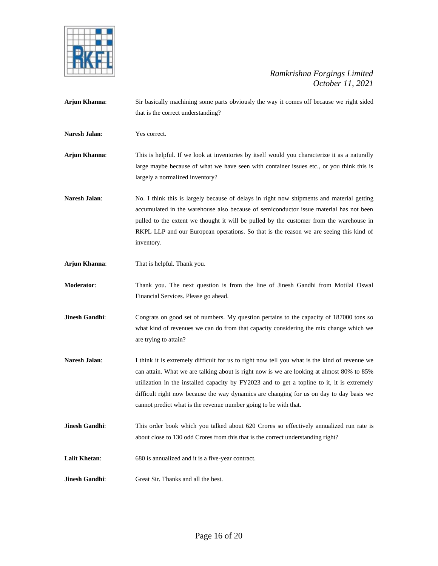

**Arjun Khanna**: Sir basically machining some parts obviously the way it comes off because we right sided that is the correct understanding? **Naresh Jalan**: Yes correct. **Arjun Khanna**: This is helpful. If we look at inventories by itself would you characterize it as a naturally large maybe because of what we have seen with container issues etc., or you think this is largely a normalized inventory? Naresh Jalan: No. I think this is largely because of delays in right now shipments and material getting accumulated in the warehouse also because of semiconductor issue material has not been pulled to the extent we thought it will be pulled by the customer from the warehouse in RKPL LLP and our European operations. So that is the reason we are seeing this kind of inventory. **Arjun Khanna**: That is helpful. Thank you. **Moderator**: Thank you. The next question is from the line of Jinesh Gandhi from Motilal Oswal Financial Services. Please go ahead. **Jinesh Gandhi**: Congrats on good set of numbers. My question pertains to the capacity of 187000 tons so what kind of revenues we can do from that capacity considering the mix change which we are trying to attain? **Naresh Jalan**: I think it is extremely difficult for us to right now tell you what is the kind of revenue we can attain. What we are talking about is right now is we are looking at almost 80% to 85% utilization in the installed capacity by FY2023 and to get a topline to it, it is extremely difficult right now because the way dynamics are changing for us on day to day basis we cannot predict what is the revenue number going to be with that. **Jinesh Gandhi**: This order book which you talked about 620 Crores so effectively annualized run rate is about close to 130 odd Crores from this that is the correct understanding right? **Lalit Khetan**: 680 is annualized and it is a five-year contract. **Jinesh Gandhi:** Great Sir. Thanks and all the best.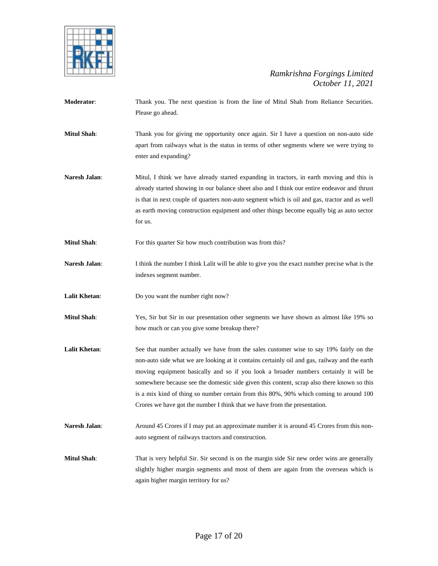

- **Moderator**: Thank you. The next question is from the line of Mitul Shah from Reliance Securities. Please go ahead.
- **Mitul Shah**: Thank you for giving me opportunity once again. Sir I have a question on non-auto side apart from railways what is the status in terms of other segments where we were trying to enter and expanding?
- Naresh Jalan: Mitul, I think we have already started expanding in tractors, in earth moving and this is already started showing in our balance sheet also and I think our entire endeavor and thrust is that in next couple of quarters non-auto segment which is oil and gas, tractor and as well as earth moving construction equipment and other things become equally big as auto sector for us.
- **Mitul Shah:** For this quarter Sir how much contribution was from this?
- **Naresh Jalan:** I think the number I think Lalit will be able to give you the exact number precise what is the indexes segment number.
- **Lalit Khetan:** Do you want the number right now?
- **Mitul Shah**: Yes, Sir but Sir in our presentation other segments we have shown as almost like 19% so how much or can you give some breakup there?
- Lalit Khetan: See that number actually we have from the sales customer wise to say 19% fairly on the non-auto side what we are looking at it contains certainly oil and gas, railway and the earth moving equipment basically and so if you look a broader numbers certainly it will be somewhere because see the domestic side given this content, scrap also there known so this is a mix kind of thing so number certain from this 80%, 90% which coming to around 100 Crores we have got the number I think that we have from the presentation.
- **Naresh Jalan:** Around 45 Crores if I may put an approximate number it is around 45 Crores from this nonauto segment of railways tractors and construction.
- **Mitul Shah**: That is very helpful Sir. Sir second is on the margin side Sir new order wins are generally slightly higher margin segments and most of them are again from the overseas which is again higher margin territory for us?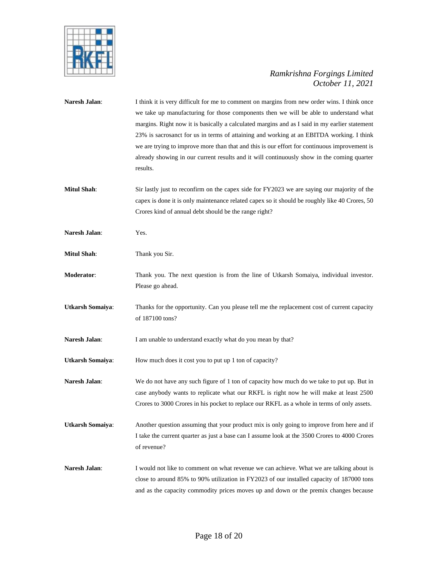

| Naresh Jalan:           | I think it is very difficult for me to comment on margins from new order wins. I think once   |  |
|-------------------------|-----------------------------------------------------------------------------------------------|--|
|                         | we take up manufacturing for those components then we will be able to understand what         |  |
|                         | margins. Right now it is basically a calculated margins and as I said in my earlier statement |  |
|                         | 23% is sacrosanct for us in terms of attaining and working at an EBITDA working. I think      |  |
|                         | we are trying to improve more than that and this is our effort for continuous improvement is  |  |
|                         | already showing in our current results and it will continuously show in the coming quarter    |  |
|                         | results.                                                                                      |  |
|                         |                                                                                               |  |
| <b>Mitul Shah:</b>      | Sir lastly just to reconfirm on the capex side for FY2023 we are saying our majority of the   |  |
|                         | capex is done it is only maintenance related capex so it should be roughly like 40 Crores, 50 |  |
|                         | Crores kind of annual debt should be the range right?                                         |  |
|                         |                                                                                               |  |
| Naresh Jalan:           | Yes.                                                                                          |  |
|                         |                                                                                               |  |
| <b>Mitul Shah:</b>      | Thank you Sir.                                                                                |  |
|                         |                                                                                               |  |
| Moderator:              | Thank you. The next question is from the line of Utkarsh Somaiya, individual investor.        |  |
|                         | Please go ahead.                                                                              |  |
|                         |                                                                                               |  |
| <b>Utkarsh Somaiya:</b> | Thanks for the opportunity. Can you please tell me the replacement cost of current capacity   |  |
|                         | of 187100 tons?                                                                               |  |
| Naresh Jalan:           | I am unable to understand exactly what do you mean by that?                                   |  |
| <b>Utkarsh Somaiya:</b> | How much does it cost you to put up 1 ton of capacity?                                        |  |
|                         |                                                                                               |  |
| Naresh Jalan:           | We do not have any such figure of 1 ton of capacity how much do we take to put up. But in     |  |
|                         | case anybody wants to replicate what our RKFL is right now he will make at least 2500         |  |
|                         | Crores to 3000 Crores in his pocket to replace our RKFL as a whole in terms of only assets.   |  |
|                         |                                                                                               |  |
| <b>Utkarsh Somaiya:</b> | Another question assuming that your product mix is only going to improve from here and if     |  |
|                         | I take the current quarter as just a base can I assume look at the 3500 Crores to 4000 Crores |  |
|                         | of revenue?                                                                                   |  |
|                         |                                                                                               |  |
| <b>Naresh Jalan:</b>    | I would not like to comment on what revenue we can achieve. What we are talking about is      |  |
|                         | close to around 85% to 90% utilization in FY2023 of our installed capacity of 187000 tons     |  |
|                         | and as the capacity commodity prices moves up and down or the premix changes because          |  |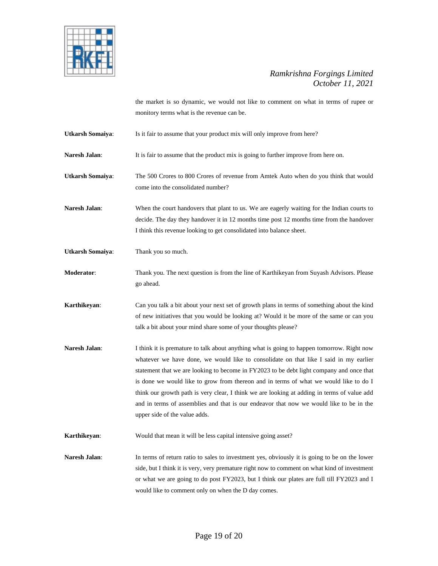

the market is so dynamic, we would not like to comment on what in terms of rupee or monitory terms what is the revenue can be.

**Utkarsh Somaiya**: Is it fair to assume that your product mix will only improve from here?

**Naresh Jalan:** It is fair to assume that the product mix is going to further improve from here on.

**Utkarsh Somaiya**: The 500 Crores to 800 Crores of revenue from Amtek Auto when do you think that would come into the consolidated number?

**Naresh Jalan**: When the court handovers that plant to us. We are eagerly waiting for the Indian courts to decide. The day they handover it in 12 months time post 12 months time from the handover I think this revenue looking to get consolidated into balance sheet.

**Utkarsh Somaiya**: Thank you so much.

**Moderator**: Thank you. The next question is from the line of Karthikeyan from Suyash Advisors. Please go ahead.

**Karthikeyan**: Can you talk a bit about your next set of growth plans in terms of something about the kind of new initiatives that you would be looking at? Would it be more of the same or can you talk a bit about your mind share some of your thoughts please?

**Naresh Jalan:** I think it is premature to talk about anything what is going to happen tomorrow. Right now whatever we have done, we would like to consolidate on that like I said in my earlier statement that we are looking to become in FY2023 to be debt light company and once that is done we would like to grow from thereon and in terms of what we would like to do I think our growth path is very clear, I think we are looking at adding in terms of value add and in terms of assemblies and that is our endeavor that now we would like to be in the upper side of the value adds.

**Karthikeyan:** Would that mean it will be less capital intensive going asset?

Naresh Jalan: In terms of return ratio to sales to investment yes, obviously it is going to be on the lower side, but I think it is very, very premature right now to comment on what kind of investment or what we are going to do post FY2023, but I think our plates are full till FY2023 and I would like to comment only on when the D day comes.